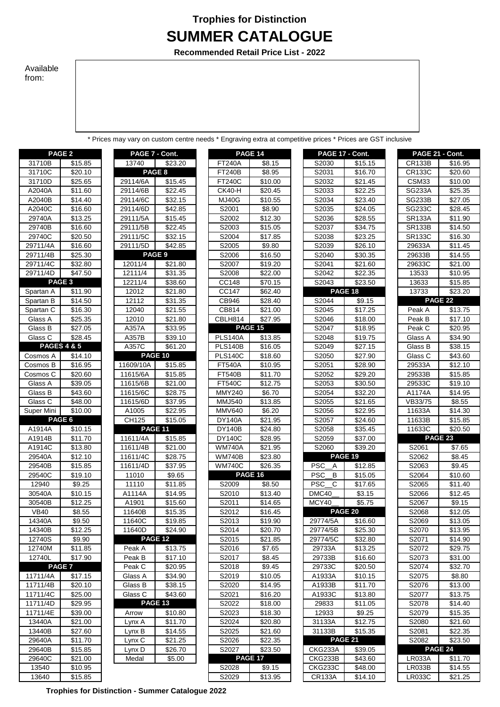## **Trophies for Distinction SUMMER CATALOGUE**

**Recommended Retail Price List - 2022**

## Available from:

\* Prices may vary on custom centre needs \* Engraving extra at competitive prices \* Prices are GST inclusive

|                      | PAGE <sub>2</sub>      |
|----------------------|------------------------|
| 31710B               | \$15.85                |
| 31710C               | \$20.10                |
|                      |                        |
| 31710D<br>A2040A     | \$25.65                |
|                      | \$11.60                |
| A2040B               | \$14.40                |
| A2040C               | \$16.60                |
| 29740A               | \$13.25                |
| 29740B               | <u>\$16.60</u>         |
| 29740C               | \$20.50                |
| 29711/4A             | \$16.60                |
| 29711/4B             | \$25.30                |
| 29711/4C             | \$32.80                |
| 29711/4D             | \$47.50                |
| PAGE 3               |                        |
| Spartan A            | \$11.90                |
| Spartan B            | \$14.50                |
| Spartan C            | \$16.30                |
| Glass A              | \$25.35                |
| Glass B              | \$27.05                |
| Glass C              | \$28.45                |
|                      | <b>PAGES 4 &amp; 5</b> |
| Cosmos A             | \$14.10                |
| Cosmos B             | \$16.95                |
| Cosmos C             | \$20.60                |
| <b>Glass A</b>       | \$39.05                |
| Glass B              | \$43.60                |
| Glass C              | \$48.00                |
| Super Mini           | \$10.00                |
|                      |                        |
|                      |                        |
|                      | PAGE 6                 |
| A1914A               | <u>\$10.15</u>         |
| A1914B               | \$11.70                |
| A1914C               | \$13.80                |
| 29540A               | \$12.10                |
| 29540B               | \$15.85                |
| 29540C               | \$19.10                |
| 12940                | \$9.25                 |
| 30540A               | \$10.15                |
| 30540B               | \$12.25                |
| <b>VB40</b>          | \$8.55                 |
| 14340A               | \$9.50                 |
| 14340B               | \$12.25                |
| 12740S               | \$9.90                 |
| 12740M               | \$11.85                |
| 12740L               | \$17.90                |
|                      | <b>PAGE 7</b>          |
| 11711/4A             | \$17.15                |
|                      | \$20.10                |
| 11711/4B             | \$25.00                |
| 11711/4C<br>11711/4D | \$29.95                |
|                      | \$39.00                |
| 11711/4E<br>13440A   |                        |
| 13440B               | \$21.00                |
|                      | \$27.60                |
| 29640A               | \$11.70                |
| 29640B               | \$15.85                |
| 29640C<br>13540      | \$21.00<br>\$10.95     |

| 13740<br>\$23.20<br>PAGE 8<br>29114/6A<br><b>\$15.45</b><br>\$22.45<br>29114/6B<br>29114/6C<br>\$32.15<br>29114/6D<br>\$42.85<br>\$15.45<br>29111/5A<br>29111/5B<br><u>\$22.45</u><br>29111/5C<br>\$32.15<br>29111/5D<br>\$42.85<br>PAGE <sub>9</sub><br>\$21.80<br>12011/4<br>12111/4<br>\$31.35<br>12211/4<br>\$38.60<br>12012<br>\$21.80<br>\$31.35<br>12112<br>12040<br>\$21.55<br>12010<br>\$21.80<br>A357A<br><u>\$33.95</u><br>A357B<br>\$39.10 |  |
|--------------------------------------------------------------------------------------------------------------------------------------------------------------------------------------------------------------------------------------------------------------------------------------------------------------------------------------------------------------------------------------------------------------------------------------------------------|--|
|                                                                                                                                                                                                                                                                                                                                                                                                                                                        |  |
|                                                                                                                                                                                                                                                                                                                                                                                                                                                        |  |
|                                                                                                                                                                                                                                                                                                                                                                                                                                                        |  |
|                                                                                                                                                                                                                                                                                                                                                                                                                                                        |  |
|                                                                                                                                                                                                                                                                                                                                                                                                                                                        |  |
|                                                                                                                                                                                                                                                                                                                                                                                                                                                        |  |
|                                                                                                                                                                                                                                                                                                                                                                                                                                                        |  |
|                                                                                                                                                                                                                                                                                                                                                                                                                                                        |  |
|                                                                                                                                                                                                                                                                                                                                                                                                                                                        |  |
|                                                                                                                                                                                                                                                                                                                                                                                                                                                        |  |
|                                                                                                                                                                                                                                                                                                                                                                                                                                                        |  |
|                                                                                                                                                                                                                                                                                                                                                                                                                                                        |  |
|                                                                                                                                                                                                                                                                                                                                                                                                                                                        |  |
|                                                                                                                                                                                                                                                                                                                                                                                                                                                        |  |
|                                                                                                                                                                                                                                                                                                                                                                                                                                                        |  |
|                                                                                                                                                                                                                                                                                                                                                                                                                                                        |  |
|                                                                                                                                                                                                                                                                                                                                                                                                                                                        |  |
|                                                                                                                                                                                                                                                                                                                                                                                                                                                        |  |
|                                                                                                                                                                                                                                                                                                                                                                                                                                                        |  |
|                                                                                                                                                                                                                                                                                                                                                                                                                                                        |  |
| A357C<br>\$61.20<br><b>PAGE 10</b>                                                                                                                                                                                                                                                                                                                                                                                                                     |  |
|                                                                                                                                                                                                                                                                                                                                                                                                                                                        |  |
| \$15.85<br>11609/10A                                                                                                                                                                                                                                                                                                                                                                                                                                   |  |
| 11615/6A<br>\$15.85                                                                                                                                                                                                                                                                                                                                                                                                                                    |  |
| 11615/6B<br>\$21.00                                                                                                                                                                                                                                                                                                                                                                                                                                    |  |
| 11615/6C<br>\$28.75<br>11615/6D<br>\$37.95                                                                                                                                                                                                                                                                                                                                                                                                             |  |
| \$22.95<br>A1005                                                                                                                                                                                                                                                                                                                                                                                                                                       |  |
| CH125<br>\$15.05                                                                                                                                                                                                                                                                                                                                                                                                                                       |  |
| <b>PAGE 11</b>                                                                                                                                                                                                                                                                                                                                                                                                                                         |  |
| \$15.85<br>11611/4A                                                                                                                                                                                                                                                                                                                                                                                                                                    |  |
| \$21.00<br>11611/4B                                                                                                                                                                                                                                                                                                                                                                                                                                    |  |
| \$28.75<br>11611/4C                                                                                                                                                                                                                                                                                                                                                                                                                                    |  |
| 11611/4D<br>\$37.95                                                                                                                                                                                                                                                                                                                                                                                                                                    |  |
| 11010<br>\$9.65                                                                                                                                                                                                                                                                                                                                                                                                                                        |  |
| 11110<br><u>\$11.85</u>                                                                                                                                                                                                                                                                                                                                                                                                                                |  |
| A1114A<br>\$14.95                                                                                                                                                                                                                                                                                                                                                                                                                                      |  |
| A1901<br>\$15.60                                                                                                                                                                                                                                                                                                                                                                                                                                       |  |
| 11640B<br>\$15.35                                                                                                                                                                                                                                                                                                                                                                                                                                      |  |
| 11640C<br>\$19.85                                                                                                                                                                                                                                                                                                                                                                                                                                      |  |
| 11640D<br>\$24.90                                                                                                                                                                                                                                                                                                                                                                                                                                      |  |
| PAGE 12                                                                                                                                                                                                                                                                                                                                                                                                                                                |  |
| Peak A<br>\$13.75                                                                                                                                                                                                                                                                                                                                                                                                                                      |  |
| \$17.10<br>Peak B                                                                                                                                                                                                                                                                                                                                                                                                                                      |  |
| Peak C<br>\$20.95                                                                                                                                                                                                                                                                                                                                                                                                                                      |  |
| Glass A<br>\$34.90                                                                                                                                                                                                                                                                                                                                                                                                                                     |  |
| Glass B<br><u>\$38.15</u>                                                                                                                                                                                                                                                                                                                                                                                                                              |  |
| \$43.60<br>Glass C                                                                                                                                                                                                                                                                                                                                                                                                                                     |  |
| PAGE 13                                                                                                                                                                                                                                                                                                                                                                                                                                                |  |
| \$10.80<br>Arrow                                                                                                                                                                                                                                                                                                                                                                                                                                       |  |
| Lynx A<br>\$11.70                                                                                                                                                                                                                                                                                                                                                                                                                                      |  |
| \$14.55<br>Lynx B                                                                                                                                                                                                                                                                                                                                                                                                                                      |  |
|                                                                                                                                                                                                                                                                                                                                                                                                                                                        |  |
|                                                                                                                                                                                                                                                                                                                                                                                                                                                        |  |
| \$21.25<br><u>Lynx C</u><br>Lynx D                                                                                                                                                                                                                                                                                                                                                                                                                     |  |
| \$26.70<br>Medal<br>\$5.00                                                                                                                                                                                                                                                                                                                                                                                                                             |  |

|             | PAGE <sub>2</sub>      | PAGE 7 - Cont.     |                     |                | <b>PAGE 14</b> | PAGE 17 - Cont. |                | PAGE 21 - Cont. |                     |
|-------------|------------------------|--------------------|---------------------|----------------|----------------|-----------------|----------------|-----------------|---------------------|
| 31710B      | \$15.85                | 13740              | \$23.20             | <b>FT240A</b>  | \$8.15         | S2030           | \$15.15        | <b>CR133B</b>   | \$16.95             |
| 31710C      | \$20.10                | PAGE 8             |                     | <b>FT240B</b>  | \$8.95         | S2031           | \$16.70        | <b>CR133C</b>   | \$20.60             |
| 31710D      | \$25.65                | 29114/6A           | \$15.45             | <b>FT240C</b>  | \$10.00        | S2032           | \$21.45        | CSM33           | \$10.00             |
| A2040A      | \$11.60                | 29114/6B           | \$22.45             | <b>CK40-H</b>  | \$20.45        | S2033           | \$22.25        | <b>SG233A</b>   | \$25.35             |
| A2040B      | \$14.40                | 29114/6C           | \$32.15             | <b>MJ40G</b>   | \$10.55        | S2034           | \$23.40        | <b>SG233B</b>   | \$27.05             |
| A2040C      | \$16.60                | 29114/6D           | $\overline{$}42.85$ | S2001          | \$8.90         | S2035           | \$24.05        | SG233C          | \$28.45             |
| 29740A      | \$13.25                | 29111/5A           | \$15.45             | S2002          | \$12.30        | S2036           | \$28.55        | <b>SR133A</b>   | \$11.90             |
| 29740B      | \$16.60                | 29111/5B           | \$22.45             | S2003          | \$15.05        | S2037           | \$34.75        | <b>SR133B</b>   | \$14.50             |
| 29740C      | \$20.50                | 29111/5C           | \$32.15             | S2004          | \$17.85        | S2038           | \$23.25        | <b>SR133C</b>   | \$16.30             |
| 29711/4A    | \$16.60                | 29111/5D           | \$42.85             | S2005          | \$9.80         | S2039           | \$26.10        | 29633A          | \$11.45             |
| 29711/4B    | $\overline{$}25.30$    | PAGE <sub>9</sub>  |                     | S2006          | \$16.50        | S2040           | \$30.35        | 29633B          | \$14.55             |
| 29711/4C    | \$32.80                | 12011/4            | \$21.80             | S2007          | \$19.20        | S2041           | \$21.60        | 29633C          | \$21.00             |
| 29711/4D    | \$47.50                | 12111/4            | \$31.35             | S2008          | \$22.00        | S2042           | \$22.35        | 13533           | \$10.95             |
|             | PAGE <sub>3</sub>      | 12211/4            | \$38.60             | CC148          | \$70.15        | S2043           | \$23.50        | 13633           | \$15.85             |
| Spartan A   | \$11.90                | 12012              | \$21.80             | CC147          | \$62.40        |                 | PAGE 18        | 13733           | \$23.20             |
| Spartan B   | \$14.50                | 12112              | \$31.35             | CB946          | \$28.40        | S2044           | \$9.15         |                 | PAGE 22             |
| Spartan C   | \$16.30                | 12040              | $\overline{$}21.55$ | CB814          | \$21.00        | S2045           | \$17.25        | Peak A          | $\overline{$13.75}$ |
| Glass A     | \$25.35                | 12010              | \$21.80             | CBLH814        | \$27.95        | S2046           | \$18.00        | Peak B          | \$17.10             |
| Glass B     | \$27.05                | A357A              | \$33.95             |                | <b>PAGE 15</b> | S2047           | \$18.95        | Peak C          | \$20.95             |
| Glass C     | \$28.45                | A357B              | \$39.10             | <b>PLS140A</b> | \$13.85        | S2048           | \$19.75        | Glass A         | \$34.90             |
|             | <b>PAGES 4 &amp; 5</b> | A357C              | \$61.20             | <b>PLS140B</b> | \$16.05        | S2049           | \$27.15        | Glass B         | \$38.15             |
| Cosmos A    | \$14.10                | <b>PAGE 10</b>     |                     | <b>PLS140C</b> | \$18.60        | S2050           | \$27.90        | Glass C         | \$43.60             |
| Cosmos B    | \$16.95                | 11609/10A          | \$15.85             | <b>FT540A</b>  | \$10.95        | S2051           | \$28.90        | 29533A          | \$12.10             |
| Cosmos C    | \$20.60                | 11615/6A           | \$15.85             | <b>FT540B</b>  | \$11.70        | S2052           | \$29.20        | 29533B          | \$15.85             |
| Glass A     | \$39.05                | 11615/6B           | \$21.00             | <b>FT540C</b>  | \$12.75        | S2053           | \$30.50        | 29533C          | \$19.10             |
| Glass B     | \$43.60                | 11615/6C           | \$28.75             | <b>MMY240</b>  | \$6.70         | S2054           | \$32.20        | A1174A          | \$14.95             |
| Glass C     | \$48.00                | 11615/6D           | \$37.95             | <b>MMJ540</b>  | \$13.85        | S2055           | \$21.65        | VB33/75         | \$8.55              |
| Super Mini  | \$10.00                | A <sub>1005</sub>  | \$22.95             | <b>MMV640</b>  | \$6.20         | S2056           | \$22.95        | 11633A          | \$14.30             |
|             | PAGE 6                 | CH125              | \$15.05             | <b>DY140A</b>  | \$21.95        | S2057           | \$24.60        | 11633B          | \$15.85             |
| A1914A      | \$10.15                | PAGE 11            |                     | <b>DY140B</b>  | \$24.80        | S2058           | \$35.45        | 11633C          | \$20.50             |
| A1914B      | \$11.70                | 11611/4A           | \$15.85             | <b>DY140C</b>  | \$28.95        | S2059           | \$37.00        |                 | PAGE 23             |
| A1914C      | \$13.80                | 11611/4B           | \$21.00             | <b>WM740A</b>  | \$21.95        | S2060           | \$39.20        | S2061           | \$7.65              |
| 29540A      | \$12.10                | 11611/4C           | \$28.75             | <b>WM740B</b>  | \$23.80        |                 | <b>PAGE 19</b> | S2062           | \$8.45              |
| 29540B      | \$15.85                | 11611/4D           | \$37.95             | <b>WM740C</b>  | \$26.35        | <b>PSC</b><br>A | \$12.85        | S2063           | \$9.45              |
| 29540C      | \$19.10                | 11010              | \$9.65              |                | PAGE 16        | <b>PSC</b><br>B | \$15.05        | S2064           | \$10.60             |
| 12940       | \$9.25                 | 11110              | \$11.85             | S2009          | \$8.50         | <b>PSC</b><br>C | \$17.65        | S2065           | \$11.40             |
| 30540A      | \$10.15                | A1114A             | \$14.95             | S2010          | \$13.40        | DMC40           | \$3.15         | S2066           | \$12.45             |
| 30540B      | \$12.25                | A1901              | \$15.60             | S2011          | \$14.65        | MCY40           | \$5.75         | S2067           | \$9.15              |
| <b>VB40</b> | \$8.55                 | 11640B             | \$15.35             | S2012          | \$16.45        |                 | PAGE 20        | S2068           | \$12.05             |
| 14340A      | \$9.50                 | 11640C             | \$19.85             | S2013          | \$19.90        | 29774/5A        | \$16.60        | S2069           | \$13.05             |
| 14340B      | \$12.25                | 11640D             | \$24.90             | S2014          | \$20.70        | 29774/5B        | \$25.30        | S2070           | \$13.95             |
| 12740S      | \$9.90                 | <b>PAGE 12</b>     |                     | S2015          | \$21.85        | 29774/5C        | \$32.80        | S2071           | \$14.90             |
| 12740M      | \$11.85                | Peak A             | \$13.75             | S2016          | \$7.65         | 29733A          | \$13.25        | S2072           | \$29.75             |
| 12740L      | \$17.90                | Peak B             | \$17.10             | S2017          | \$8.45         | 29733B          | \$16.60        | S2073           | \$31.00             |
|             | PAGE <sub>7</sub>      | Peak C             | \$20.95             | S2018          | \$9.45         | 29733C          | \$20.50        | S2074           | \$32.70             |
| 11711/4A    | \$17.15                | Glass A            | \$34.90             | S2019          | \$10.05        | A1933A          | \$10.15        | S2075           | \$8.80              |
| 11711/4B    | \$20.10                | Glass B            | \$38.15             | S2020          | \$14.95        | A1933B          | \$11.70        | S2076           | \$13.00             |
| 11711/4C    | \$25.00                | Glass C            | \$43.60             | S2021          | \$16.20        | A1933C          | \$13.80        | S2077           | \$13.75             |
| 11711/4D    | \$29.95                | PAGE <sub>13</sub> |                     | S2022          | \$18.00        | 29833           | \$11.05        | S2078           | \$14.40             |
| 11711/4E    | \$39.00                | Arrow              | \$10.80             | S2023          | \$18.30        | 12933           | \$9.25         | S2079           | \$15.35             |
| 13440A      | \$21.00                | Lynx A             | \$11.70             | S2024          | \$20.80        | 31133A          | \$12.75        | S2080           | \$21.60             |
| 13440B      | \$27.60                | Lynx B             | \$14.55             | S2025          | \$21.60        | 31133B          | \$15.35        | S2081           | \$22.35             |
| 29640A      | \$11.70                | Lynx C             | \$21.25             | S2026          | \$22.35        | <b>PAGE 21</b>  |                | S2082           | \$23.50             |
| 29640B      | \$15.85                | Lynx D             | \$26.70             | S2027          | \$23.50        | CKG233A         | \$39.05        |                 | <b>PAGE 24</b>      |
| 29640C      | \$21.00                | Medal              | \$5.00              |                | <b>PAGE 17</b> | CKG233B         | \$43.60        | <b>LR033A</b>   | \$11.70             |
| 13540       | \$10.95                |                    |                     | S2028          | \$9.15         | <b>CKG233C</b>  | \$48.00        | <b>LR033B</b>   | \$14.55             |
| 13640       | \$15.85                |                    |                     | S2029          | \$1395         | CR133A          | \$14.10        | $I$ RO33C.      | \$21.25             |

|                 | PAGE 17 - Cont. | PAGE 21 - Cont.     |                    |
|-----------------|-----------------|---------------------|--------------------|
| S2030           | \$15.15         | CR133B              | \$16.9             |
| S2031           | \$16.70         | <b>CR133C</b>       | $\overline{$}20.6$ |
| S2032           | \$21.45         | CSM33               | \$10.0             |
| S2033           | \$22.25         | SG233A              | \$25.3             |
| S2034           | \$23.40         | <b>SG233B</b>       | \$27.0             |
| S2035           | \$24.05         | SG233C              | \$28.4             |
| S2036           | \$28.55         | SR133A              | \$11.9             |
| S2037           | \$34.75         | SR <sub>133</sub> B | \$14.5             |
| S2038           | \$23.25         | SR133C              | \$16.3             |
| S2039           | \$26.10         | 29633A              | \$11.4             |
| S2040           | \$30.35         | 29633B              | \$14.5             |
| S2041           | \$21.60         | 29633C              | \$21.0             |
| S2042           | \$22.35         | 13533               | \$10.9             |
| S2043           | \$23.50         | 13633               | \$15.8             |
|                 | <b>PAGE 18</b>  | 13733               | \$23.2             |
| S2044           | \$9.15          |                     | <b>PAGE 22</b>     |
| S2045           | \$17.25         | Peak A              | \$13.7             |
| S2046           | \$18.00         | Peak B              | \$17.1             |
| S2047           | \$18.95         | Peak C              | \$20.9             |
| S2048           | \$19.75         | Glass A             | \$34.9             |
| S2049           | \$27.15         | Glass B             | \$38.1             |
| S2050           | \$27.90         | Glass C             | \$43.6             |
| S2051           | \$28.90         | 29533A              | \$12.1             |
| S2052           | \$29.20         | 29533B              | \$15.8             |
| S2053           | \$30.50         | 29533C              | \$19.1             |
| S2054           | \$32.20         | A1174A              | \$14.9             |
| S2055           | \$21.65         | VB33/75             | \$8.5              |
| S2056           | \$22.95         | 11633A              | \$14.3             |
| S2057           | \$24.60         | 11633B              | \$15.8             |
| S2058           | \$35.45         | 11633C              | \$20.5             |
| S2059           | \$37.00         |                     | <b>PAGE 23</b>     |
| S2060           | \$39.20         | S2061               | \$7.6              |
|                 | <b>PAGE 19</b>  | S2062               | \$8.4              |
| $PSC_$<br>Α     | \$12.85         | S2063               | \$9.4              |
| <b>PSC</b><br>B | \$15.05         | S2064               | $\overline{$}10.6$ |
| C<br><b>PSC</b> | \$17.65         | S2065               | \$11.4             |
| DMC40           | \$3.15          | S2066               | $\overline{$}12.4$ |
| MCY40           | \$5.75          | S2067               | \$9.1              |
|                 | <b>PAGE 20</b>  | S2068               | \$12.0             |
| 29774/5A        | \$16.60         | S2069               | \$13.0             |
| 29774/5B        | \$25.30         | S2070               | \$13.9             |
| 29774/5C        | \$32.80         | S2071               | \$14.9             |
| 29733A          | \$13.25         | S2072               | \$29.7             |
| 29733B          | \$16.60         | S2073               | \$31.0             |
| 29733C          | \$20.50         | S2074               | \$32.7             |
| A1933A          | \$10.15         | S2075               | \$8.8              |
| A1933B          | \$11.70         | S2076               | \$13.0             |
| A1933C          | \$13.80         | S2077               | \$13.7             |
| 29833           | \$11.05         | S2078               | \$14.4             |
| 12933           | \$9.25          | S2079               | \$15.3             |
| 31133A          | \$12.75         | S2080               | \$21.6             |
| 31133B          | \$15.35         | S2081               | \$22.3             |
|                 | PAGE 21         | S2082               | \$23.5             |
| CKG233A         | \$39.05         |                     | PAGE 24            |
| CKG233B         | \$43.60         | LR033A              |                    |
| <b>CKG233C</b>  | \$48.00         | LR033B              | \$11.7<br>\$14.5   |
| CR133A          | \$14.10         | R033C               | \$21.2             |
|                 |                 |                     |                    |

| PAGE <sub>2</sub>      |         | PAGE 7 - Cont. |                     | <b>PAGE 14</b> |                     | PAGE 17 - Cont. |         | PAGE 21 - Cont. |         |
|------------------------|---------|----------------|---------------------|----------------|---------------------|-----------------|---------|-----------------|---------|
| 31710B                 | \$15.85 | 13740          | \$23.20             | <b>FT240A</b>  | \$8.15              | S2030           | \$15.15 | <b>CR133B</b>   | \$16.95 |
| 31710C                 | \$20.10 |                | PAGE 8              | <b>FT240B</b>  | \$8.95              | S2031           | \$16.70 | <b>CR133C</b>   | \$20.60 |
| 31710D                 | \$25.65 | 29114/6A       | \$15.45             | <b>FT240C</b>  | \$10.00             | S2032           | \$21.45 | CSM33           | \$10.00 |
| <b>\2040A</b>          | \$11.60 | 29114/6B       | $\overline{$}22.45$ | <b>CK40-H</b>  | \$20.45             | S2033           | \$22.25 | <b>SG233A</b>   | \$25.35 |
| \2040B                 | \$14.40 | 29114/6C       | \$32.15             | <b>MJ40G</b>   | \$10.55             | S2034           | \$23.40 | <b>SG233B</b>   | \$27.05 |
| <b>\2040C</b>          | \$16.60 | 29114/6D       | \$42.85             | S2001          | \$8.90              | S2035           | \$24.05 | SG233C          | \$28.45 |
| 29740A                 | \$13.25 | 29111/5A       | \$15.45             | S2002          | \$12.30             | S2036           | \$28.55 | <b>SR133A</b>   | \$11.90 |
| 29740B                 | \$16.60 | 29111/5B       | \$22.45             | S2003          | \$15.05             | S2037           | \$34.75 | <b>SR133B</b>   | \$14.50 |
| 9740C                  | \$20.50 | 29111/5C       | \$32.15             | S2004          | \$17.85             | S2038           | \$23.25 | <b>SR133C</b>   | \$16.30 |
| $\overline{97}$ 11/4A  | \$16.60 | 29111/5D       | \$42.85             | S2005          | \$9.80              | S2039           | \$26.10 | 29633A          | \$11.45 |
| 9711/4B                | \$25.30 |                | PAGE 9              | S2006          | \$16.50             | S2040           | \$30.35 | 29633B          | \$14.55 |
| 9711/4C                | \$32.80 | 12011/4        | \$21.80             | S2007          | \$19.20             | S2041           | \$21.60 | 29633C          | \$21.00 |
| 9711/4D                | \$47.50 | 12111/4        | \$31.35             | S2008          | \$22.00             | S2042           | \$22.35 | 13533           | \$10.95 |
| PAGE 3                 |         | 12211/4        | \$38.60             | CC148          | \$70.15             | S2043           | \$23.50 | 13633           | \$15.85 |
| partan A               | \$11.90 | 12012          | \$21.80             | CC147          | \$62.40             | PAGE 18         |         | 13733           | \$23.20 |
| oartan B               | \$14.50 | 12112          | \$31.35             | CB946          | \$28.40             | S2044           | \$9.15  | <b>PAGE 22</b>  |         |
| partan C               | \$16.30 | 12040          | \$21.55             | CB814          | \$21.00             | S2045           | \$17.25 | Peak A          | \$13.75 |
| Glass A                | \$25.35 | 12010          | \$21.80             | CBLH814        | $\overline{$}27.95$ | S2046           | \$18.00 | Peak B          | \$17.10 |
| Glass B                | \$27.05 | A357A          | \$33.95             | <b>PAGE 15</b> |                     | S2047           | \$18.95 | Peak C          | \$20.95 |
| Glass C                | \$28.45 | A357B          | \$39.10             | <b>PLS140A</b> | \$13.85             | S2048           | \$19.75 | Glass A         | \$34.90 |
| <b>PAGES 4 &amp; 5</b> |         | A357C          | \$61.20             | <b>PLS140B</b> | \$16.05             | S2049           | \$27.15 | Glass B         | \$38.15 |
| osmos A                | \$14.10 |                | PAGE 10             | <b>PLS140C</b> | \$18.60             | S2050           | \$27.90 | Glass C         | \$43.60 |
| osmos B                | \$16.95 | 11609/10A      | \$15.85             | <b>FT540A</b>  | \$10.95             | S2051           | \$28.90 | 29533A          | \$12.10 |
| osmos C                | \$20.60 | 11615/6A       | \$15.85             | <b>FT540B</b>  | \$11.70             | S2052           | \$29.20 | 29533B          | \$15.85 |
| <b>Glass A</b>         | \$39.05 | 11615/6B       | \$21.00             | <b>FT540C</b>  | \$12.75             | S2053           | \$30.50 | 29533C          | \$19.10 |
| Glass B                | \$43.60 | 11615/6C       | \$28.75             | <b>MMY240</b>  | \$6.70              | S2054           | \$32.20 | A1174A          | \$14.95 |
| Glass C                | \$48.00 | 11615/6D       | 37.95               | <b>MMJ540</b>  | \$13.85             | S2055           | \$21.65 | VB33/75         | \$8.55  |
| ıper Mini              | \$10.00 | A1005          | \$22.95             | <b>MMV640</b>  | \$6.20              | S2056           | \$22.95 | 11633A          | \$14.30 |
| PAGE 6                 |         | CH125          | \$15.05             | <b>DY140A</b>  | \$21.95             | S2057           | \$24.60 | 11633B          | \$15.85 |
| 1914A\                 | \$10.15 |                | <b>PAGE 11</b>      | <b>DY140B</b>  | \$24.80             | S2058           | \$35.45 | 11633C          | \$20.50 |
| \1914B                 | \$11.70 | 11611/4A       | \$15.85             | <b>DY140C</b>  | \$28.95             | S2059           | \$37.00 | <b>PAGE 23</b>  |         |
| \1914C                 | \$13.80 | 11611/4B       | \$21.00             | <b>WM740A</b>  | \$21.95             | S2060           | \$39.20 | S2061           | \$7.65  |
| 29540A                 | \$12.10 | 11611/4C       | \$28.75             | <b>WM740B</b>  | \$23.80             | PAGE 19         |         | S2062           | \$8.45  |
| 29540B                 | \$15.85 | 11611/4D       | \$37.95             | <b>WM740C</b>  | \$26.35             | PSC<br>A        | \$12.85 | S2063           | \$9.45  |
| '9540C                 | \$19.10 | 11010          | \$9.65              | PAGE 16        |                     | <b>PSC</b><br>В | \$15.05 | S2064           | \$10.60 |
| 12940                  | \$9.25  | 11110          | \$11.85             | S2009          | \$8.50              | <b>PSC</b><br>С | \$17.65 | S2065           | \$11.40 |
| 80540A                 | \$10.15 | A1114A         | \$14.95             | S2010          | \$13.40             | DMC40           | \$3.15  | S2066           | \$12.45 |
| 80540B                 | \$12.25 | A1901          | \$15.60             | S2011          | \$14.65             | MCY40           | \$5.75  | S2067           | \$9.15  |
| <b>VB40</b>            | \$8.55  | 11640B         | \$15.35             | S2012          | \$16.45             | PAGE 20         |         | S2068           | \$12.05 |
| 4340A                  | \$9.50  | 11640C         | \$19.85             | S2013          | \$19.90             | 29774/5A        | \$16.60 | S2069           | \$13.05 |
| 4340B                  | \$12.25 | 11640D         | \$24.90             | S2014          | \$20.70             | 29774/5B        | \$25.30 | S2070           | \$13.95 |
| 2740S                  | \$9.90  |                | <b>PAGE 12</b>      | S2015          | \$21.85             | 29774/5C        | \$32.80 | S2071           | \$14.90 |
| 2740M                  | \$11.85 | Peak A         | \$13.75             | S2016          | \$7.65              | 29733A          | \$13.25 | S2072           | \$29.75 |
| 12740L                 | \$17.90 | Peak B         | \$17.10             | S2017          | \$8.45              | 29733B          | \$16.60 | S2073           | \$31.00 |
| PAGE 7                 |         | Peak C         | \$20.95             | S2018          | \$9.45              | 29733C          | \$20.50 | S2074           | \$32.70 |
| 1711/4A                | \$17.15 | Glass A        | \$34.90             | S2019          | \$10.05             | A1933A          | \$10.15 | S2075           | \$8.80  |
| 1711/4B                | \$20.10 | Glass B        | \$38.15             | S2020          | \$14.95             | A1933B          | \$11.70 | S2076           | \$13.00 |
| 1711/4C                | \$25.00 | Glass C        | \$43.60             | S2021          | \$16.20             | A1933C          | \$13.80 | S2077           | \$13.75 |
| 1711/4D                | \$29.95 |                | PAGE 13             | S2022          | \$18.00             | 29833           | \$11.05 | S2078           | \$14.40 |
| 1711/4E                | \$39.00 | Arrow          | \$10.80             | S2023          | \$18.30             | 12933           | \$9.25  | S2079           | \$15.35 |
| 3440A                  | \$21.00 | Lynx A         | \$11.70             | S2024          | \$20.80             | 31133A          | \$12.75 | S2080           | \$21.60 |
| 3440B                  | \$27.60 | Lynx B         | \$14.55             | S2025          | \$21.60             | 31133B          | \$15.35 | S2081           | \$22.35 |
| 29640A                 | \$11.70 | Lynx C         | \$21.25             | S2026          | \$22.35             | <b>PAGE 21</b>  |         | S2082           | \$23.50 |
| 29640B                 | \$15.85 | Lynx D         | \$26.70             | S2027          | \$23.50             | CKG233A         | \$39.05 | <b>PAGE 24</b>  |         |
| '9640C                 | \$21.00 | Medal          | \$5.00              | <b>PAGE 17</b> |                     | CKG233B         | \$43.60 | <b>LR033A</b>   | \$11.70 |
| 13540                  | \$10.95 |                |                     | S2028          | \$9.15              | <b>CKG233C</b>  | \$48.00 | <b>LR033B</b>   | \$14.55 |
| 13640                  | \$15.85 |                |                     | S2029          | \$13.95             | <b>CR133A</b>   | \$14.10 | <b>LR033C</b>   | \$21.25 |
|                        |         |                |                     |                |                     |                 |         |                 |         |

**Trophies for Distinction - Summer Catalogue 2022**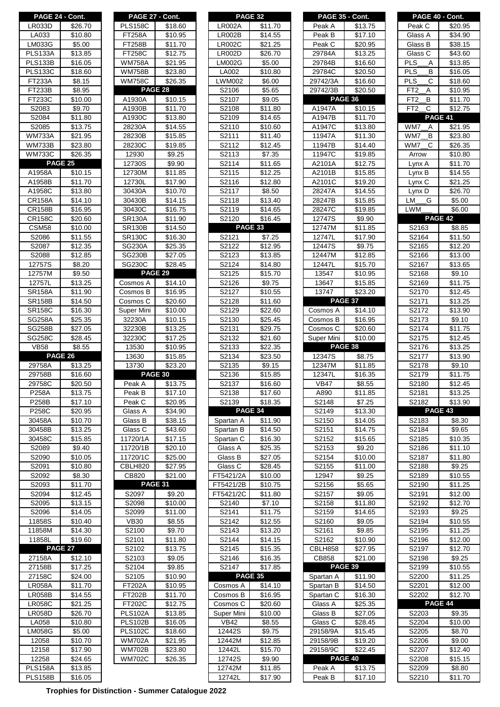|                    | PAGE 24 - Cont.     |
|--------------------|---------------------|
|                    |                     |
| LR033D             | \$26.70             |
| LA033              | \$10.80             |
| LM033G             | \$5.00              |
| PLS133A            | \$13.85             |
| PLS133B            | \$16.05             |
| PLS133C            | \$18.60             |
| FT233A             | \$8.15              |
| <b>FT233B</b>      | \$8.95              |
| FT233C             | \$10.00             |
|                    |                     |
| S2083              | \$9.70              |
| S2084              | \$11.80             |
| S2085              | \$13.75             |
| WM733A             | \$21.95             |
| <b>WM733B</b>      | \$23.80             |
| WM733C             | \$26.35             |
|                    | <b>PAGE 25</b>      |
| A1958A             | \$10.15             |
| A1958B             | \$11.70             |
| A1958C             | \$13.80             |
|                    |                     |
| <b>CR158A</b>      | \$14.10             |
| CR158B             | \$16.95             |
| CR158C             | \$20.60             |
| CSM58              | \$10.00             |
| S2086              | \$11.55             |
| S2087              | \$12.35             |
| S2088              | \$12.85             |
|                    |                     |
| 12757S             | \$8.20              |
| 12757M             | \$9.50              |
| 12757L             | \$13.25             |
| SR158A             | \$11.90             |
| SR158B             | \$14.50             |
| SR158C             | \$16.30             |
| SG258A             | <u>\$25.35</u>      |
| SG258B             | \$27.05             |
| SG258C             | \$28.45             |
|                    |                     |
|                    |                     |
| <b>VB58</b>        | \$8.55              |
| <b>PAGE 26</b>     |                     |
| 29758A             | \$13.25             |
| 29758B             | \$16.60             |
| 29758C             | \$20.50             |
| P258A              | \$13.75             |
| P258B              | \$17.10             |
| P258C              | \$20.95             |
|                    |                     |
| 30458A             | \$10.70             |
| 30458B             | \$13.25             |
| 30458C             | \$15.85             |
| S2089              | \$9.40              |
| S2090              | \$10.05             |
| S2091              | \$10.80             |
| S2092              | \$8.30              |
| S2093              | \$11.70             |
| S2094              | \$12.45             |
| S2095              |                     |
|                    | $\overline{$}13.15$ |
| S2096              | \$14.05             |
| 11858S             | <u>\$10.40</u>      |
| 11858M             | \$14.30             |
| 11858L             | \$19.60             |
|                    | PAGE 27             |
| 27158A             | \$12.10             |
| 27158B             | \$17.25             |
| 27158 <sub>C</sub> | \$24.00             |
| LR058A             | \$11.70             |
| LR058B             | \$14.55             |
| LR058C             | \$21.25             |
|                    |                     |
| LR058D             | \$26.70             |
| LA058              | \$10.80             |
| LM058G             | \$5.00              |
| 12058              | \$10.70             |
| 12158              | \$17.90             |
| 12258              | \$24.65             |
| <b>PLS158A</b>     | \$13.85             |

| PAGE 27 - Cont.                |                     |
|--------------------------------|---------------------|
| PLS158C<br>FT258A              | \$18.60<br>\$10.95  |
| FT258B                         | \$11.70             |
| FT258C                         | \$12.75             |
| <b>WM758A</b>                  | \$21.95             |
| WM758B                         | \$23.80             |
| <b>WM758C</b>                  | \$26.35             |
| PAGE 28                        |                     |
| A1930A                         | <b>\$10.15</b>      |
| A1930B                         | \$11.70             |
| A1930C                         | \$13.80             |
| 28230A                         | \$14.55             |
| 28230B<br>28230C               | \$15.85<br>\$19.85  |
| 12930                          | \$9.25              |
| 12730S                         | \$9.90              |
| 12730M                         | \$11.85             |
| 12730L                         | $\overline{$}17.90$ |
| 30430A                         | \$10.70             |
| 30430B                         | <u>\$14.15</u>      |
| 30430C                         | \$16.75             |
| SR130A                         | \$11.90             |
| <b>SR130B</b>                  | \$14.50             |
| <b>SR130C</b>                  | \$16.30             |
| <b>SG230A</b>                  | \$25.35             |
| <b>SG230B</b><br><b>SG230C</b> | \$27.05             |
|                                | \$28.45<br>PAGE 29  |
| Cosmos A                       | \$14.10             |
| Cosmos B                       | \$16.95             |
| Cosmos C                       | \$20.60             |
| <mark>iuper Mini</mark>        | \$10.00             |
| 32230A                         | \$10.15             |
| 32230B                         | $\sqrt{3.25}$       |
| 32230C                         | \$17.25             |
| 13530                          | \$10.95             |
|                                |                     |
| 13630                          | \$15.85             |
| 13730                          | $\overline{$}23.20$ |
|                                | PAGE 30             |
| Peak A                         | \$13.75             |
| Peak B                         | \$17.10             |
| Peak C                         | \$20.95             |
| Glass A<br>Glass B             | \$34.90<br>\$38.15  |
| Glass C                        | \$43.60             |
| 11720/1A                       | \$17.15             |
| 11720/1B                       | $\overline{$}20.10$ |
| 11720/1C                       | \$25.00             |
| CBLH820                        | \$27.95             |
| CB820                          | \$21.00             |
|                                | <b>PAGE 31</b>      |
| S2097                          | \$9.20              |
| S2098                          | \$10.00             |
| S2099                          | \$11.00             |
| <b>VB30</b>                    | \$8.55              |
| S2100                          | \$9.70              |
| S2101<br>S2102                 | \$11.80<br>\$13.75  |
| S2103                          | \$9.05              |
| ຸເ<br>32104                    | \$9.85              |
| $\overline{\text{S2}}$ 105     | \$10.90             |
| <b>FT202A</b>                  | \$10.95             |
| FT202B                         | \$11.70             |
| FT202C                         | \$12.75             |
| <b>PLS102A</b>                 | \$13.85             |
| <b>PLS102B</b>                 | \$16.05             |
| <b>PLS102C</b>                 | \$18.60             |
| <b>WM702A</b>                  | \$21.95             |
| <b>WM702B</b><br>WM702C        | \$23.80<br>\$26.35  |

| PAGE 24 - Cont.                 |                     | PAGE 27 - Cont.                |                     |                        | <b>PAGE 32</b> |                     | PAGE 35 - Cont.       |                               |                          |                | PAGE 40 - Cont.                |
|---------------------------------|---------------------|--------------------------------|---------------------|------------------------|----------------|---------------------|-----------------------|-------------------------------|--------------------------|----------------|--------------------------------|
| <b>LR033D</b>                   | \$26.70             | <b>PLS158C</b>                 | \$18.60             | <b>LR002A</b>          |                | \$11.70             | Peak A                | \$13.75                       |                          | Peak C         | \$20.95                        |
| LA033                           | \$10.80             | <b>FT258A</b>                  | \$10.95             | <b>LR002B</b>          |                | \$14.55             | Peak B                | \$17.10                       |                          | Glass A        | \$34.90                        |
| LM033G                          | \$5.00              | <b>FT258B</b>                  | \$11.70             | <b>LR002C</b>          |                | \$21.25             | Peak C                | \$20.95                       |                          | Glass B        | \$38.15                        |
| <b>PLS133A</b>                  | \$13.85             | FT258C                         | \$12.75             | <b>LR002D</b>          |                | \$26.70             | 29784A                | \$13.25                       |                          | Glass C        | \$43.60                        |
| <b>PLS133B</b>                  | \$16.05             | <b>WM758A</b>                  | \$21.95             | <b>LM002G</b>          |                | \$5.00              | 29784B                | \$16.60                       | <b>PLS</b><br><b>PLS</b> | Α<br>В         | \$13.85                        |
| <b>PLS133C</b><br><b>FT233A</b> | \$18.60<br>\$8.15   | <b>WM758B</b><br><b>WM758C</b> | \$23.80<br>\$26.35  | LA002<br><b>LWM002</b> |                | \$10.80<br>\$6.00   | 29784C<br>29742/3A    | \$20.50<br>\$16.60            | <b>PLS</b>               | C              | \$16.05<br>\$18.60             |
| FT233B                          | \$8.95              | PAGE 28                        |                     | S2106                  |                | \$5.65              | 29742/3B              | \$20.50                       | FT <sub>2</sub>          | Α              | \$10.95                        |
| FT233C                          | \$10.00             | A1930A                         | $\overline{$}10.15$ | S2107                  |                | $\overline{$}9.05$  | PAGE 36               |                               | FT <sub>2</sub>          | В              | \$11.70                        |
| S2083                           | \$9.70              | A1930B                         | \$11.70             | S2108                  |                | \$11.80             | A1947A                | \$10.15                       | FT <sub>2</sub>          | C              | \$12.75                        |
| S2084                           | \$11.80             | A1930C                         | \$13.80             | S2109                  |                | \$14.65             | A1947B                | \$11.70                       |                          |                | <b>PAGE 41</b>                 |
| S2085                           | \$13.75             | 28230A                         | \$14.55             | S2110                  |                | \$10.60             | A1947C                | \$13.80                       | WM7                      | A              | \$21.95                        |
| <b>WM733A</b>                   | \$21.95             | 28230B                         | \$15.85             | S2111                  |                | \$11.40             | 11947A                | \$11.30                       | WM7                      | B              | \$23.80                        |
| $\overline{\text{W}}$ M733B     | \$23.80             | 28230C                         | \$19.85             | S2112                  |                | \$12.45             | 11947B                | \$14.40                       | WM7                      | $\mathsf{C}$   | \$26.35                        |
| <b>WM733C</b>                   | \$26.35             | 12930                          | \$9.25              | S2113                  |                | \$7.35              | 11947C                | \$19.85                       |                          | Arrow          | \$10.80                        |
|                                 | PAGE 25             | 12730S                         | \$9.90              | S <sub>2114</sub>      |                | $\overline{$}11.65$ | A2101A                | $\overline{$}12.75$           |                          | Lynx A         | \$11.70                        |
| A1958A                          | \$10.15             | 12730M                         | \$11.85             | S2115                  |                | \$12.25             | A2101B                | \$15.85                       |                          | Lynx B         | \$14.55                        |
| A1958B                          | \$11.70             | 12730L                         | \$17.90             | S2116                  |                | \$12.80             | A2101C                | \$19.20                       |                          | Lynx C         | \$21.25                        |
| A1958C                          | \$13.80             | 30430A                         | \$10.70             | S2117                  |                | \$8.50              | 28247A                | \$14.55                       |                          | Lynx D         | \$26.70                        |
| <b>CR158A</b>                   | \$14.10             | 30430B                         | \$14.15             | S2118                  |                | \$13.40             | 28247B                | \$15.85                       | LM                       | G              | \$5.00                         |
| <b>CR158B</b>                   | \$16.95<br>\$20.60  | 30430C<br><b>SR130A</b>        | \$16.75<br>\$11.90  | S2119<br>S2120         |                | \$14.65<br>\$16.45  | 28247C<br>12747S      | \$19.85<br>\$9.90             |                          | <b>LWM</b>     | \$6.00<br>PAGE 42              |
| <b>CR158C</b><br>CSM58          | \$10.00             | <b>SR130B</b>                  | \$14.50             |                        | PAGE 33        |                     | 12747M                | \$11.85                       |                          | S2163          | \$8.85                         |
| S2086                           | \$11.55             | <b>SR130C</b>                  | \$16.30             | S2121                  |                | \$7.25              | 12747L                | \$17.90                       |                          | S2164          | $\overline{$}11.50$            |
| S2087                           | \$12.35             | <b>SG230A</b>                  | \$25.35             | S2122                  |                | \$12.95             | 12447S                | $\overline{$}9.75$            |                          | S2165          | \$12.20                        |
| S2088                           | \$12.85             | <b>SG230B</b>                  | \$27.05             | S2123                  |                | \$13.85             | 12447M                | \$12.85                       |                          | S2166          | \$13.00                        |
| 12757S                          | \$8.20              | SG230C                         | \$28.45             | S2124                  |                | \$14.80             | 12447L                | \$15.70                       |                          | S2167          | \$13.65                        |
| 12757M                          | \$9.50              | PAGE 29                        |                     | S2125                  |                | \$15.70             | 13547                 | \$10.95                       |                          | S2168          | \$9.10                         |
| 12757L                          | \$13.25             | Cosmos A                       | \$14.10             | S2126                  |                | \$9.75              | 13647                 | \$15.85                       |                          | S2169          | \$11.75                        |
| <b>SR158A</b>                   | \$11.90             | Cosmos B                       | \$16.95             | S2127                  |                | \$10.55             | 13747                 | \$23.20                       |                          | S2170          | $\overline{$}12.45$            |
| <b>SR158B</b>                   | $\overline{$}14.50$ | Cosmos C                       | \$20.60             | S2128                  |                | \$11.60             | PAGE 37               |                               |                          | S2171          | $\overline{$}13.25$            |
| <b>SR158C</b>                   | \$16.30             | Super Mini                     | \$10.00             | S2129                  |                | \$22.60             | Cosmos A              | \$14.10                       |                          | S2172          | \$13.90                        |
| <b>SG258A</b>                   | \$25.35             | 32230A                         | \$10.15             | S2130                  |                | \$25.45             | Cosmos B              | \$16.95                       |                          | S2173          | \$9.10                         |
| <b>SG258B</b>                   | \$27.05             | 32230B                         | \$13.25             | S2131                  |                | \$29.75             | Cosmos C              | \$20.60                       |                          | S2174          | \$11.75                        |
| SG258C                          | \$28.45             | 32230C                         | \$17.25             | S2132                  |                | \$21.60             | Super Mini<br>PAGE 38 | \$10.00                       |                          | S2175          | \$12.45                        |
| <b>VB58</b>                     | \$8.55<br>PAGE 26   | 13530<br>13630                 | \$10.95<br>\$15.85  | S2133<br>S2134         |                | \$22.35<br>\$23.50  | 12347S                | \$8.75                        |                          | S2176<br>S2177 | \$13.25<br>\$13.90             |
| 29758A                          | \$13.25             | 13730                          | \$23.20             | S2135                  |                | \$9.15              | 12347M                | \$11.85                       |                          | S2178          | \$9.10                         |
| 29758B                          | \$16.60             | PAGE 30                        |                     | S2136                  |                | \$15.85             | 12347L                | \$16.35                       |                          | S2179          | \$11.75                        |
| 29758C                          | \$20.50             | Peak A                         | \$13.75             | S2137                  |                | \$16.60             | <b>VB47</b>           | \$8.55                        |                          | S2180          | \$12.45                        |
| P258A                           | \$13.75             | Peak B                         | \$17.10             | S2138                  |                | \$17.60             | A890                  | \$11.85                       |                          | S2181          | \$13.25                        |
| P258B                           | \$17.10             | Peak C                         | \$20.95             | S2139                  |                | \$18.35             | S2148                 | \$7.25                        |                          | S2182          | \$13.90                        |
| P258C                           | \$20.95             | Glass A                        | \$34.90             |                        |                | <b>PAGE 34</b>      | S2149                 | \$13.30                       |                          |                | PAGE 43                        |
| 30458A                          | \$10.70             | Glass B                        | \$38.15             | Spartan A              |                | \$11.90             | S2150                 | \$14.05                       |                          | S2183          | \$8.30                         |
| 30458B                          | \$13.25             | Glass C                        | \$43.60             | Spartan B              |                | \$14.50             | S2151                 | \$14.75                       |                          | S2184          | \$9.65                         |
| 30458C                          | \$15.85             | 11720/1A                       | \$17.15             | Spartan C              |                | \$16.30             | S2152                 | \$15.65                       |                          | S2185          | \$10.35                        |
| S2089                           | \$9.40              | 11720/1B                       | \$20.10             | Glass A                |                | \$25.35             | S2153                 | \$9.20                        |                          | S2186          | \$11.10                        |
| S2090                           | \$10.05             | 11720/1C                       | \$25.00             | Glass B                |                | \$27.05             | S2154                 | \$10.00                       |                          | S2187          | \$11.80                        |
| S2091                           | \$10.80             | CBLH820                        | \$27.95             | Glass C                |                | \$28.45             | S2155                 | \$11.00                       |                          | S2188          | \$9.25                         |
| S2092                           | \$8.30              | CB820                          | \$21.00             | FT5421/2A              |                | \$10.00             | 12947                 | \$9.25                        |                          | S2189          | \$10.55                        |
| S2093                           | \$11.70             | PAGE 31                        |                     | FT5421/2B              |                | \$10.75             | S2156                 | \$5.65                        |                          | S2190          | \$11.25                        |
| S2094<br>S2095                  | \$12.45<br>\$13.15  | S2097<br>S2098                 | \$9.20<br>\$10.00   | FT5421/2C<br>S2140     |                | \$11.80<br>\$7.10   | S2157<br>S2158        | \$9.05<br>$\overline{$}11.80$ |                          | S2191<br>S2192 | \$12.00<br>$\overline{$}12.70$ |
| S2096                           | \$14.05             | S2099                          | \$11.00             | S2141                  |                | \$11.75             | S2159                 | \$14.65                       |                          | S2193          | \$9.25                         |
| 11858S                          | \$10.40             | <b>VB30</b>                    | \$8.55              | S2142                  |                | \$12.55             | S2160                 | \$9.05                        |                          | S2194          | \$10.55                        |
| 11858M                          | \$14.30             | S2100                          | \$9.70              | S2143                  |                | \$13.20             | S2161                 | \$9.85                        |                          | S2195          | \$11.25                        |
| 11858L                          | \$19.60             | S2101                          | \$11.80             | S2144                  |                | \$14.15             | S2162                 | \$10.90                       |                          | S2196          | \$12.00                        |
|                                 | PAGE 27             | S2102                          | \$13.75             | S2145                  |                | \$15.35             | CBLH858               | \$27.95                       |                          | S2197          | \$12.70                        |
| 27158A                          | \$12.10             | S2103                          | \$9.05              | S2146                  |                | \$16.35             | CB858                 | \$21.00                       |                          | S2198          | \$9.25                         |
| 27158B                          | \$17.25             | S2104                          | \$9.85              | S2147                  |                | \$17.85             | PAGE 39               |                               |                          | S2199          | \$10.55                        |
| 27158C                          | \$24.00             | S2105                          | \$10.90             |                        |                | PAGE 35             | Spartan A             | \$11.90                       |                          | S2200          | \$11.25                        |
| <b>LR058A</b>                   | \$11.70             | <b>FT202A</b>                  | \$10.95             | Cosmos A               |                | \$14.10             | Spartan B             | \$14.50                       |                          | S2201          | \$12.00                        |
| <b>LR058B</b>                   | \$14.55             | <b>FT202B</b>                  | \$11.70             | Cosmos B               |                | \$16.95             | Spartan C             | \$16.30                       |                          | S2202          | $\overline{$}12.70$            |
| <b>LR058C</b>                   | \$21.25             | FT202C                         | \$12.75             | Cosmos C               |                | \$20.60             | Glass A               | \$25.35                       |                          |                | PAGE 44                        |
| <b>LR058D</b>                   | \$26.70             | <b>PLS102A</b>                 | \$13.85             | Super Mini             |                | \$10.00             | Glass B               | \$27.05                       |                          | S2203          | \$9.35                         |
| LA058                           | \$10.80             | <b>PLS102B</b>                 | \$16.05             | <b>VB42</b>            |                | \$8.55              | Glass C               | \$28.45                       |                          | S2204          | \$10.00                        |
| <b>LM058G</b>                   | \$5.00              | <b>PLS102C</b>                 | \$18.60             | 12442S                 |                | \$9.75              | 29158/9A              | \$15.45                       |                          | S2205          | \$8.70                         |
| 12058                           | \$10.70             | <b>WM702A</b>                  | \$21.95             | 12442M                 |                | \$12.85             | 29158/9B              | \$19.20                       |                          | S2206          | \$9.00                         |
| 12158                           | \$17.90             | <b>WM702B</b>                  | \$23.80             | 12442L                 |                | \$15.70             | 29158/9C              | \$22.45                       |                          | S2207          | \$12.40                        |
| 12258                           | \$24.65             | <b>WM702C</b>                  | \$26.35             | 12742S                 |                | \$9.90              | PAGE 40               |                               |                          | S2208          | \$15.15                        |
| PLS158A                         | \$13.85             |                                |                     | 12742M                 |                | \$11.85             | Peak A                | \$13.75                       |                          | S2209          | \$8.80                         |

| PAGE 24 - Cont.                          |                     | PAGE 27 - Cont.     |                     |               | <b>PAGE 32</b>      | PAGE 35 - Cont. |                     | PAGE 40 - Cont.                 |                                                          |
|------------------------------------------|---------------------|---------------------|---------------------|---------------|---------------------|-----------------|---------------------|---------------------------------|----------------------------------------------------------|
| LR033D                                   | \$26.70             | <b>PLS158C</b>      | \$18.60             | <b>LR002A</b> | \$11.70             | Peak A          | \$13.75             | Peak C                          | \$20.9                                                   |
| LA033                                    | \$10.80             | <b>FT258A</b>       | \$10.95             | <b>LR002B</b> | \$14.55             | Peak B          | \$17.10             | Glass A                         | \$34.9                                                   |
|                                          |                     |                     |                     |               |                     |                 |                     |                                 |                                                          |
| LM033G                                   | \$5.00              | <b>FT258B</b>       | \$11.70             | <b>LR002C</b> | \$21.25             | Peak C          | \$20.95             | Glass B                         | \$38.1                                                   |
| $\overline{P}$ LS133A                    | \$13.85             | <b>FT258C</b>       | \$12.75             | <b>LR002D</b> | \$26.70             | 29784A          | \$13.25             | Glass C                         | \$43.6                                                   |
| <b>PLS133B</b>                           | \$16.05             | <b>WM758A</b>       | \$21.95             | <b>LM002G</b> | \$5.00              | 29784B          | \$16.60             | <b>PLS</b><br>Α                 | \$13.85                                                  |
| PLS133C                                  | \$18.60             | <b>WM758B</b>       | \$23.80             | LA002         | \$10.80             | 29784C          | \$20.50             | <b>PLS</b><br>B                 | \$16.0                                                   |
| <b>FT233A</b>                            | \$8.15              | <b>WM758C</b>       | \$26.35             | <b>LWM002</b> | \$6.00              | 29742/3A        | \$16.60             | <b>PLS</b><br>С                 | \$18.6                                                   |
| FT233B                                   | \$8.95              |                     | PAGE 28             | S2106         | \$5.65              | 29742/3B        | \$20.50             | FT <sub>2</sub><br>Α            | \$10.9                                                   |
| FT233C                                   | \$10.00             | A1930A              | \$10.15             | S2107         | \$9.05              |                 | <b>PAGE 36</b>      | B<br>FT <sub>2</sub>            | \$11.7                                                   |
| S2083                                    | \$9.70              | A1930B              | $\overline{$}11.70$ | S2108         | \$11.80             | A1947A          | \$10.15             | $\mathsf{C}$<br>FT <sub>2</sub> | \$12.7                                                   |
| S2084                                    | \$11.80             | A1930C              | \$13.80             | S2109         | \$14.65             | A1947B          | \$11.70             |                                 | PAGE 41                                                  |
|                                          | \$13.75             |                     |                     |               |                     |                 |                     |                                 |                                                          |
| S2085                                    |                     | 28230A              | \$14.55             | S2110         | \$10.60             | A1947C          | \$13.80             | WM7<br>Α                        | \$21.9                                                   |
| <b>WM733A</b>                            | \$21.95             | 28230B              | \$15.85             | S2111         | \$11.40             | 11947A          | \$11.30             | B<br>WM7                        | \$23.8                                                   |
| <b>WM733B</b>                            | \$23.80             | 28230C              | \$19.85             | S2112         | \$12.45             | 11947B          | \$14.40             | WM7<br>C                        | \$26.3                                                   |
| <b>WM733C</b>                            | \$26.35             | 12930               | \$9.25              | S2113         | \$7.35              | 11947C          | \$19.85             | Arrow                           | \$10.8                                                   |
|                                          | <b>PAGE 25</b>      | 12730S              | \$9.90              | S2114         | $\overline{$}11.65$ | A2101A          | \$12.75             | Lynx A                          | \$11.7                                                   |
| A1958A                                   | \$10.15             | 12730M              | \$11.85             | S2115         | \$12.25             | A2101B          | \$15.85             | Lynx B                          | \$14.5                                                   |
| A1958B                                   | \$11.70             | 12730L              | \$17.90             | S2116         | \$12.80             | A2101C          | \$19.20             | Lynx <sub>C</sub>               | \$21.2                                                   |
| A1958C                                   | \$13.80             | 30430A              | \$10.70             | S2117         | \$8.50              | 28247A          | \$14.55             | Lynx D                          | \$26.7                                                   |
| <b>CR158A</b>                            | \$14.10             | 30430B              | \$14.15             | S2118         | \$13.40             | 28247B          | \$15.85             | G<br>LM                         | \$5.00                                                   |
|                                          | $\overline{$}16.95$ |                     | \$16.75             |               | \$14.65             |                 | \$19.85             | <b>LWM</b>                      | \$6.00                                                   |
| <b>CR158B</b>                            |                     | 30430C              |                     | S2119         |                     | 28247C          |                     |                                 |                                                          |
| <b>CR158C</b>                            | \$20.60             | <b>SR130A</b>       | \$11.90             | S2120         | \$16.45             | 12747S          | \$9.90              |                                 | PAGE 42                                                  |
| CSM58                                    | \$10.00             | <b>SR130B</b>       | \$14.50             |               | PAGE 33             | 12747M          | \$11.85             | S2163                           | \$8.85                                                   |
| S2086                                    | \$11.55             | <b>SR130C</b>       | \$16.30             | S2121         | \$7.25              | 12747L          | \$17.90             | S2164                           | \$11.5                                                   |
| S2087                                    | \$12.35             | <b>SG230A</b>       | \$25.35             | S2122         | \$12.95             | 12447S          | \$9.75              | S2165                           | \$12.2                                                   |
| S2088                                    | \$12.85             | <b>SG230B</b>       | \$27.05             | S2123         | \$13.85             | 12447M          | \$12.85             | S2166                           | \$13.0                                                   |
| 12757S                                   | \$8.20              | SG230C              | \$28.45             | S2124         | \$14.80             | 12447L          | \$15.70             | S2167                           | \$13.6                                                   |
| 12757M                                   | \$9.50              |                     | PAGE 29             | S2125         | \$15.70             | 13547           | \$10.95             | S2168                           | \$9.10                                                   |
| 12757L                                   | \$13.25             | Cosmos A            | \$14.10             | S2126         | \$9.75              | 13647           | \$15.85             | S2169                           | \$11.7                                                   |
| <b>SR158A</b>                            | \$11.90             | Cosmos B            | \$16.95             | S2127         | \$10.55             | 13747           | \$23.20             | S2170                           | \$12.4                                                   |
|                                          |                     |                     |                     |               |                     |                 | PAGE 37             |                                 |                                                          |
| <b>SR158B</b>                            | \$14.50             | Cosmos C            | \$20.60             | S2128         | \$11.60             |                 |                     | S2171                           | \$13.2                                                   |
| <b>SR158C</b>                            | \$16.30             | Super Mini          | \$10.00             | S2129         | \$22.60             | Cosmos A        | \$14.10             | S2172                           | \$13.9                                                   |
| <b>SG258A</b>                            | \$25.35             | 32230A              | \$10.15             | S2130         | \$25.45             | Cosmos B        | \$16.95             | S2173                           | \$9.10                                                   |
| <b>SG258B</b>                            | \$27.05             | 32230B              | \$13.25             | S2131         | \$29.75             | Cosmos C        | \$20.60             | S2174                           | \$11.75                                                  |
| SG258C                                   | \$28.45             | 32230C              | \$17.25             | S2132         | \$21.60             | Super Mini      | \$10.00             | S2175                           | \$12.4                                                   |
| <b>VB58</b>                              | \$8.55              | 13530               | \$10.95             | S2133         | \$22.35             | PAGE 38         |                     | S2176                           | \$13.2                                                   |
|                                          | PAGE 26             | 13630               | \$15.85             | S2134         | \$23.50             | 12347S          | \$8.75              | S2177                           | \$13.9                                                   |
| 29758A                                   | \$13.25             | 13730               | \$23.20             | S2135         | $\overline{$}9.15$  | 12347M          | \$11.85             | S2178                           | \$9.10                                                   |
| 29758B                                   | \$16.60             |                     | PAGE 30             | S2136         | \$15.85             | 12347L          | $\overline{$}16.35$ | S2179                           | \$11.7                                                   |
| 29758C                                   | \$20.50             | Peak A              | \$13.75             | S2137         | \$16.60             | VB47            | \$8.55              | S2180                           | \$12.4                                                   |
| P258A                                    | \$13.75             | Peak B              | \$17.10             | S2138         | \$17.60             | A890            | \$11.85             |                                 | \$13.25                                                  |
|                                          |                     |                     |                     |               |                     |                 |                     | S2181<br>S2182                  |                                                          |
| P258B                                    | \$17.10             | Peak C              | \$20.95             | S2139         | \$18.35             | S2148           | \$7.25              |                                 | \$13.9                                                   |
| P258C                                    | \$20.95             |                     | \$34.90             |               |                     |                 |                     |                                 |                                                          |
| 30458A                                   |                     | Glass A             |                     |               | PAGE 34             | S2149           | \$13.30             |                                 | PAGE 43                                                  |
|                                          | \$10.70             | Glass B             | \$38.15             | Spartan A     | \$11.90             | S2150           | \$14.05             | S2183                           |                                                          |
| 30458B                                   | \$13.25             | Glass C             | \$43.60             | Spartan B     | \$14.50             | S2151           | \$14.75             | S2184                           |                                                          |
| 30458C                                   | \$15.85             | 11720/1A            | \$17.15             | Spartan C     | \$16.30             | S2152           | \$15.65             | S2185                           |                                                          |
| S2089                                    | \$9.40              | 11720/1B            | \$20.10             | Glass A       | \$25.35             | S2153           | \$9.20              | S2186                           |                                                          |
| S2090                                    |                     |                     |                     | Glass B       | \$27.05             | S2154           |                     | S2187                           |                                                          |
|                                          | \$10.05<br>\$10.80  | 11720/1C<br>CBLH820 | \$25.00             |               | \$28.45             | S2155           | \$10.00<br>\$11.00  | S2188                           | \$8.30<br>\$9.65<br>\$10.3<br>\$11.1<br>\$11.8           |
| S2091                                    |                     |                     | \$27.95             | Glass C       |                     |                 |                     |                                 | \$9.25                                                   |
| S2092                                    | \$8.30              | CB820               | \$21.00             | FT5421/2A     | \$10.00             | 12947           | \$9.25              | S2189                           | \$10.5                                                   |
| S2093                                    | \$11.70             |                     | PAGE 31             | FT5421/2B     | \$10.75             | S2156           | \$5.65              | S2190                           | \$11.2                                                   |
| S2094                                    | \$12.45             | S2097               | \$9.20              | FT5421/2C     | \$11.80             | S2157           | \$9.05              | S2191                           | \$12.0                                                   |
| S2095                                    | \$13.15             | S2098               | \$10.00             | S2140         | \$7.10              | S2158           | \$11.80             | S2192                           | \$12.7                                                   |
| S2096                                    | \$14.05             | S2099               | \$11.00             | S2141         | \$11.75             | S2159           | \$14.65             | S2193                           | \$9.25                                                   |
| 11858S                                   | \$10.40             | <b>VB30</b>         | \$8.55              | S2142         | \$12.55             | S2160           | \$9.05              | S2194                           |                                                          |
| 11858M                                   | \$14.30             | S2100               | \$9.70              | S2143         | \$13.20             | S2161           | \$9.85              | S2195                           | \$10.5<br>\$11.2                                         |
| 11858L                                   | \$19.60             | S2101               | \$11.80             | S2144         | \$14.15             | S2162           | \$10.90             | S2196                           |                                                          |
|                                          | <b>PAGE 27</b>      | S2102               | \$13.75             | S2145         | \$15.35             | CBLH858         | \$27.95             | S2197                           | \$12.0<br>\$12.7                                         |
|                                          |                     |                     |                     |               |                     |                 |                     |                                 |                                                          |
| 27158A                                   | \$12.10             | S2103               | \$9.05              | S2146         | \$16.35             | CB858           | \$21.00             | S2198                           | \$9.25                                                   |
| 27158B                                   | \$17.25             | S2104               | \$9.85              | S2147         | \$17.85             | PAGE 39         |                     | S2199                           | \$10.5                                                   |
| 27158C                                   | \$24.00             | S2105               | \$10.90             |               | PAGE 35             | Spartan A       | \$11.90             | S2200                           |                                                          |
|                                          | \$11.70             | <b>FT202A</b>       | \$10.95             | Cosmos A      | \$14.10             | Spartan B       | \$14.50             | S2201                           |                                                          |
|                                          | \$14.55             | <b>FT202B</b>       | \$11.70             | Cosmos B      | \$16.95             | Spartan C       | \$16.30             | S2202                           |                                                          |
| <b>LR058A</b><br>LR058B<br><b>LR058C</b> | \$21.25             | FT202C              | \$12.75             | Cosmos C      | \$20.60             | Glass A         | \$25.35             |                                 | \$11.2<br>\$12.0<br>\$12.7<br>PAGE 44                    |
| <b>LR058D</b>                            | \$26.70             | <b>PLS102A</b>      | \$13.85             | Super Mini    | \$10.00             | Glass B         | \$27.05             | S2203                           | \$9.35                                                   |
| LA058                                    | \$10.80             | PLS102B             | \$16.05             | <b>VB42</b>   | \$8.55              | Glass C         | \$28.45             | S2204                           |                                                          |
| <b>LM058G</b>                            | \$5.00              | <b>PLS102C</b>      | \$18.60             | 12442S        | \$9.75              | 29158/9A        | \$15.45             | S2205                           |                                                          |
| 12058                                    | \$10.70             | <b>WM702A</b>       | \$21.95             | 12442M        | \$12.85             | 29158/9B        | \$19.20             | S2206                           |                                                          |
| 12158                                    | \$17.90             | <b>WM702B</b>       | \$23.80             | 12442L        | \$15.70             | 29158/9C        | \$22.45             | S2207                           |                                                          |
|                                          |                     |                     |                     | 12742S        |                     |                 | PAGE 40             |                                 |                                                          |
| 12258<br><b>PLS158A</b>                  | \$24.65<br>\$13.85  | <b>WM702C</b>       | \$26.35             | 12742M        | \$9.90<br>\$11.85   | Peak A          | \$13.75             | S2208<br>S2209                  | \$10.0<br>\$8.70<br>\$9.00<br>\$12.4<br>\$15.1<br>\$8.80 |

|                                                                  | PAGE 24 - Cont.     |                | PAGE 27 - Cont.     |               | <b>PAGE 32</b>      |             | PAGE 35 - Cont.     |                      | PAGE 40 - Cont.     |
|------------------------------------------------------------------|---------------------|----------------|---------------------|---------------|---------------------|-------------|---------------------|----------------------|---------------------|
| <b>LR033D</b>                                                    | \$26.70             | <b>PLS158C</b> | \$18.60             | <b>LR002A</b> | \$11.70             | Peak A      | \$13.75             | Peak C               | \$20.95             |
| LA033                                                            | \$10.80             | <b>FT258A</b>  | \$10.95             | <b>LR002B</b> | \$14.55             | Peak B      | \$17.10             | Glass A              | \$34.90             |
|                                                                  |                     |                |                     |               |                     |             |                     |                      |                     |
| LM033G                                                           | \$5.00              | <b>FT258B</b>  | \$11.70             | <b>LR002C</b> | \$21.25             | Peak C      | \$20.95             | Glass B              | \$38.15             |
| PLS133A                                                          | \$13.85             | <b>FT258C</b>  | \$12.75             | <b>LR002D</b> | \$26.70             | 29784A      | \$13.25             | Glass C              | \$43.60             |
| PLS133B                                                          | \$16.05             | <b>WM758A</b>  | \$21.95             | <b>LM002G</b> | \$5.00              | 29784B      | \$16.60             | <b>PLS</b><br>Α      | \$13.85             |
| <b>PLS133C</b>                                                   | \$18.60             | <b>WM758B</b>  | \$23.80             | LA002         | \$10.80             | 29784C      | \$20.50             | <b>PLS</b><br>B      | \$16.05             |
| <b>FT233A</b>                                                    | \$8.15              | <b>WM758C</b>  | \$26.35             | <b>LWM002</b> | \$6.00              | 29742/3A    | \$16.60             | <b>PLS</b><br>C      | \$18.60             |
|                                                                  |                     |                |                     |               |                     |             |                     |                      |                     |
| FT233B                                                           | \$8.95              |                | PAGE 28             | S2106         | \$5.65              | 29742/3B    | \$20.50             | FT <sub>2</sub><br>Α | \$10.95             |
| FT233C                                                           | \$10.00             | A1930A         | \$10.15             | S2107         | \$9.05              |             | PAGE 36             | B<br>FT <sub>2</sub> | \$11.70             |
| S2083                                                            | $\overline{$}9.70$  | A1930B         | $\overline{$}11.70$ | S2108         | $\overline{$}11.80$ | A1947A      | \$10.15             | FT <sub>2</sub><br>C | \$12.75             |
| S2084                                                            | \$11.80             | A1930C         | \$13.80             | S2109         | \$14.65             | A1947B      | \$11.70             |                      | PAGE 41             |
| S2085                                                            | \$13.75             | 28230A         | \$14.55             | S2110         | \$10.60             | A1947C      | \$13.80             | WM7<br>Α             | \$21.95             |
|                                                                  |                     |                |                     |               |                     |             |                     |                      |                     |
| <b>WM733A</b>                                                    | \$21.95             | 28230B         | \$15.85             | S2111         | \$11.40             | 11947A      | \$11.30             | WM7<br>B             | \$23.80             |
| <b>WM733B</b>                                                    | \$23.80             | 28230C         | \$19.85             | S2112         | \$12.45             | 11947B      | \$14.40             | WM7<br>C             | \$26.35             |
| <b>WM733C</b>                                                    | \$26.35             | 12930          | \$9.25              | S2113         | \$7.35              | 11947C      | \$19.85             | Arrow                | \$10.80             |
|                                                                  | PAGE 25             | 12730S         | \$9.90              | S2114         | \$11.65             | A2101A      | \$12.75             | Lynx A               | \$11.70             |
| A1958A                                                           | \$10.15             | 12730M         | \$11.85             | S2115         | \$12.25             | A2101B      | $\overline{$}15.85$ | Lynx B               | $\overline{$}14.55$ |
| A1958B                                                           | \$11.70             | 12730L         | \$17.90             | S2116         | \$12.80             | A2101C      | \$19.20             | Lynx <sub>C</sub>    | \$21.25             |
|                                                                  |                     |                |                     |               |                     |             |                     |                      |                     |
| A1958C                                                           | \$13.80             | 30430A         | \$10.70             | S2117         | \$8.50              | 28247A      | \$14.55             | Lynx D               | \$26.70             |
| <b>CR158A</b>                                                    | \$14.10             | 30430B         | \$14.15             | S2118         | \$13.40             | 28247B      | \$15.85             | G<br>LM              | \$5.00              |
| <b>CR158B</b>                                                    | \$16.95             | 30430C         | \$16.75             | S2119         | \$14.65             | 28247C      | \$19.85             | <b>LWM</b>           | \$6.00              |
| <b>CR158C</b>                                                    | \$20.60             | <b>SR130A</b>  | \$11.90             | S2120         | \$16.45             | 12747S      | \$9.90              |                      | PAGE 42             |
| CSM58                                                            | $\overline{$}10.00$ | <b>SR130B</b>  | $\overline{$}14.50$ | PAGE 33       |                     | 12747M      | \$11.85             | S2163                | \$8.85              |
| S2086                                                            | $\overline{$}11.55$ | <b>SR130C</b>  | \$16.30             | S2121         | \$7.25              | 12747L      | \$17.90             | S2164                | \$11.50             |
|                                                                  |                     |                |                     |               |                     |             |                     |                      |                     |
| S2087                                                            | $\overline{$}12.35$ | <b>SG230A</b>  | \$25.35             | S2122         | \$12.95             | 12447S      | \$9.75              | S2165                | \$12.20             |
| S2088                                                            | \$12.85             | <b>SG230B</b>  | \$27.05             | S2123         | \$13.85             | 12447M      | \$12.85             | S2166                | \$13.00             |
| 12757S                                                           | \$8.20              | <b>SG230C</b>  | \$28.45             | S2124         | \$14.80             | 12447L      | \$15.70             | S2167                | \$13.65             |
| 12757M                                                           | \$9.50              |                | PAGE 29             | S2125         | \$15.70             | 13547       | \$10.95             | S2168                | \$9.10              |
| 12757L                                                           | \$13.25             | Cosmos A       | \$14.10             | S2126         | \$9.75              | 13647       | \$15.85             | S2169                | \$11.75             |
| <b>SR158A</b>                                                    | \$11.90             | Cosmos B       | $\overline{$}16.95$ | S2127         | \$10.55             | 13747       | \$23.20             | S2170                | \$12.45             |
|                                                                  |                     |                |                     | S2128         | \$11.60             |             | PAGE 37             |                      |                     |
| <b>SR158B</b>                                                    | \$14.50             | Cosmos C       | \$20.60             |               |                     |             |                     | S2171                | \$13.25             |
| <b>SR158C</b>                                                    | \$16.30             | Super Mini     | \$10.00             | S2129         | \$22.60             | Cosmos A    | \$14.10             | S2172                | \$13.90             |
| <b>SG258A</b>                                                    | \$25.35             | 32230A         | \$10.15             | S2130         | \$25.45             | Cosmos B    | \$16.95             | S2173                | \$9.10              |
| <b>SG258B</b>                                                    | \$27.05             | 32230B         | \$13.25             | S2131         | \$29.75             | Cosmos C    | \$20.60             | S2174                | \$11.75             |
| <b>SG258C</b>                                                    | \$28.45             | 32230C         | \$17.25             | S2132         | \$21.60             | Super Mini  | \$10.00             | S2175                | \$12.45             |
| <b>VB58</b>                                                      | \$8.55              | 13530          | \$10.95             | S2133         | \$22.35             |             | PAGE 38             | S2176                | \$13.25             |
|                                                                  | PAGE 26             | 13630          | \$15.85             | S2134         | \$23.50             | 12347S      | \$8.75              | S2177                | \$13.90             |
|                                                                  |                     |                |                     |               |                     |             |                     |                      |                     |
|                                                                  |                     |                |                     |               |                     |             |                     |                      |                     |
| 29758A                                                           | \$13.25             | 13730          | \$23.20             | S2135         | \$9.15              | 12347M      | \$11.85             | S2178                | \$9.10              |
| 29758B                                                           | \$16.60             |                | PAGE 30             | S2136         | \$15.85             | 12347L      | \$16.35             | S2179                | \$11.75             |
| 29758C                                                           | \$20.50             | Peak A         | \$13.75             | S2137         | \$16.60             | <b>VB47</b> | \$8.55              | S2180                | \$12.45             |
| P258A                                                            | \$13.75             | Peak B         | \$17.10             | S2138         | \$17.60             | A890        | \$11.85             | S2181                | \$13.25             |
|                                                                  |                     |                |                     |               |                     |             |                     |                      |                     |
| P258B                                                            | \$17.10             | Peak C         | \$20.95             | S2139         | \$18.35             | S2148       | \$7.25              | S2182                | \$13.90             |
| P258C                                                            | \$20.95             | Glass A        | \$34.90             |               | PAGE 34             | S2149       | \$13.30             |                      | PAGE 43             |
| 30458A                                                           | \$10.70             | Glass B        | \$38.15             | Spartan A     | \$11.90             | S2150       | \$14.05             | S2183                | \$8.30              |
| 30458B                                                           | \$13.25             | Glass C        | \$43.60             | Spartan B     | \$14.50             | S2151       | \$14.75             | S2184                | \$9.65              |
| 30458C                                                           | \$15.85             | 11720/1A       | \$17.15             | Spartan C     | \$16.30             | S2152       | \$15.65             | S2185                | \$10.35             |
| S2089                                                            | \$9.40              | 11720/1B       | \$20.10             | Glass A       | \$25.35             | S2153       | \$9.20              | S2186                | \$11.10             |
|                                                                  |                     |                |                     |               |                     |             |                     |                      |                     |
| S2090                                                            | \$10.05             | 11720/1C       | \$25.00             | Glass B       | $\overline{$}27.05$ | S2154       | \$10.00             | S2187                | \$11.80             |
| S2091                                                            | \$10.80             | CBLH820        | \$27.95             | Glass C       | \$28.45             | S2155       | \$11.00             | S2188                | \$9.25              |
| S2092                                                            | \$8.30              | CB820          | \$21.00             | FT5421/2A     | \$10.00             | 12947       | \$9.25              | S2189                | \$10.55             |
| S2093                                                            | \$11.70             |                | PAGE 31             | FT5421/2B     | \$10.75             | S2156       | \$5.65              | S2190                | \$11.25             |
| S2094                                                            | \$12.45             | S2097          | \$9.20              | FT5421/2C     | \$11.80             | S2157       | \$9.05              | S2191                | \$12.00             |
| S2095                                                            | \$13.15             | S2098          | \$10.00             | S2140         | \$7.10              | S2158       | \$11.80             | S2192                | \$12.70             |
| S2096                                                            | \$14.05             | S2099          | \$11.00             | S2141         | \$11.75             | S2159       | \$14.65             | S2193                | \$9.25              |
|                                                                  |                     |                |                     |               |                     |             |                     |                      |                     |
| 11858S                                                           | \$10.40             | <b>VB30</b>    | \$8.55              | S2142         | $\overline{$}12.55$ | S2160       | \$9.05              | S2194                | \$10.55             |
| 11858M                                                           | \$14.30             | S2100          | \$9.70              | S2143         | \$13.20             | S2161       | \$9.85              | S2195                | \$11.25             |
| 11858L                                                           | \$19.60             | S2101          | \$11.80             | S2144         | \$14.15             | S2162       | \$10.90             | S2196                | \$12.00             |
| <b>PAGE 27</b>                                                   |                     | S2102          | \$13.75             | S2145         | \$15.35             | CBLH858     | \$27.95             | S2197                | \$12.70             |
| 27158A                                                           | \$12.10             | S2103          | \$9.05              | S2146         | \$16.35             | CB858       | \$21.00             | S2198                | \$9.25              |
| 27158B                                                           | \$17.25             | S2104          | \$9.85              | S2147         | \$17.85             |             | PAGE 39             | S2199                | \$10.55             |
|                                                                  |                     |                |                     |               |                     |             |                     |                      |                     |
| 27158C                                                           | $\sqrt{$24.00}$     | S2105          | \$10.90             | PAGE 35       |                     | Spartan A   | \$11.90             | S2200                | \$11.25             |
|                                                                  | \$11.70             | <b>FT202A</b>  | \$10.95             | Cosmos A      | $\overline{$}14.10$ | Spartan B   | \$14.50             | S2201                | \$12.00             |
|                                                                  | \$14.55             | FT202B         | \$11.70             | Cosmos B      | \$16.95             | Spartan C   | \$16.30             | S2202                | \$12.70             |
|                                                                  | \$21.25             | FT202C         | \$12.75             | Cosmos C      | \$20.60             | Glass A     | \$25.35             |                      | PAGE 44             |
|                                                                  | \$26.70             | <b>PLS102A</b> | \$13.85             | Super Mini    | \$10.00             | Glass B     | \$27.05             | S2203                | \$9.35              |
| <b>LA058</b>                                                     | \$10.80             | <b>PLS102B</b> | \$16.05             | <b>VB42</b>   | \$8.55              | Glass C     | \$28.45             | S2204                | \$10.00             |
| <b>LR058A</b><br><b>LR058B</b><br><b>LR058C</b><br><b>LR058D</b> |                     |                |                     |               |                     |             |                     |                      |                     |
|                                                                  | \$5.00              | <b>PLS102C</b> | \$18.60             | 12442S        | \$9.75              | 29158/9A    | \$15.45             | S2205                | \$8.70              |
| 12058                                                            | \$10.70             | <b>WM702A</b>  | \$21.95             | 12442M        | \$12.85             | 29158/9B    | \$19.20             | S2206                | \$9.00              |
| <b>LM058G</b><br>12158                                           | \$17.90             | <b>WM702B</b>  | \$23.80             | 12442L        | \$15.70             | 29158/9C    | \$22.45             | S2207                | \$12.40             |
| 12258                                                            | \$24.65             | <b>WM702C</b>  | \$26.35             | 12742S        | \$9.90              |             | PAGE 40             | S2208                | \$15.15             |
|                                                                  | \$13.85             |                |                     | 12742M        | \$11.85             | Peak A      | \$13.75             | S2209                | \$8.80              |
| <b>PLS158A</b><br><b>PLS158B</b>                                 | \$16.05             |                |                     | 12742L        | \$17.90             | Peak B      | \$17.10             | S2210                | \$11.70             |

**Trophies for Distinction - Summer Catalogue 2022**